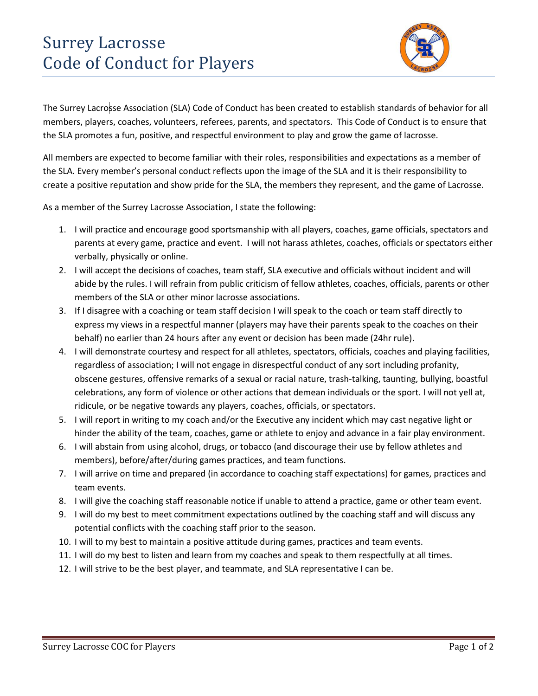## Surrey Lacrosse Code of Conduct for Players



The Surrey Lacrosse Association (SLA) Code of Conduct has been created to establish standards of behavior for all members, players, coaches, volunteers, referees, parents, and spectators. This Code of Conduct is to ensure that the SLA promotes a fun, positive, and respectful environment to play and grow the game of lacrosse.

All members are expected to become familiar with their roles, responsibilities and expectations as a member of the SLA. Every member's personal conduct reflects upon the image of the SLA and it is their responsibility to create a positive reputation and show pride for the SLA, the members they represent, and the game of Lacrosse.

As a member of the Surrey Lacrosse Association, I state the following:

- 1. I will practice and encourage good sportsmanship with all players, coaches, game officials, spectators and parents at every game, practice and event. I will not harass athletes, coaches, officials or spectators either verbally, physically or online.
- 2. I will accept the decisions of coaches, team staff, SLA executive and officials without incident and will abide by the rules. I will refrain from public criticism of fellow athletes, coaches, officials, parents or other members of the SLA or other minor lacrosse associations.
- 3. If I disagree with a coaching or team staff decision I will speak to the coach or team staff directly to express my views in a respectful manner (players may have their parents speak to the coaches on their behalf) no earlier than 24 hours after any event or decision has been made (24hr rule).
- 4. I will demonstrate courtesy and respect for all athletes, spectators, officials, coaches and playing facilities, regardless of association; I will not engage in disrespectful conduct of any sort including profanity, obscene gestures, offensive remarks of a sexual or racial nature, trash-talking, taunting, bullying, boastful celebrations, any form of violence or other actions that demean individuals or the sport. I will not yell at, ridicule, or be negative towards any players, coaches, officials, or spectators.
- 5. I will report in writing to my coach and/or the Executive any incident which may cast negative light or hinder the ability of the team, coaches, game or athlete to enjoy and advance in a fair play environment.
- 6. I will abstain from using alcohol, drugs, or tobacco (and discourage their use by fellow athletes and members), before/after/during games practices, and team functions.
- 7. I will arrive on time and prepared (in accordance to coaching staff expectations) for games, practices and team events.
- 8. I will give the coaching staff reasonable notice if unable to attend a practice, game or other team event.
- 9. I will do my best to meet commitment expectations outlined by the coaching staff and will discuss any potential conflicts with the coaching staff prior to the season.
- 10. I will to my best to maintain a positive attitude during games, practices and team events.
- 11. I will do my best to listen and learn from my coaches and speak to them respectfully at all times.
- 12. I will strive to be the best player, and teammate, and SLA representative I can be.